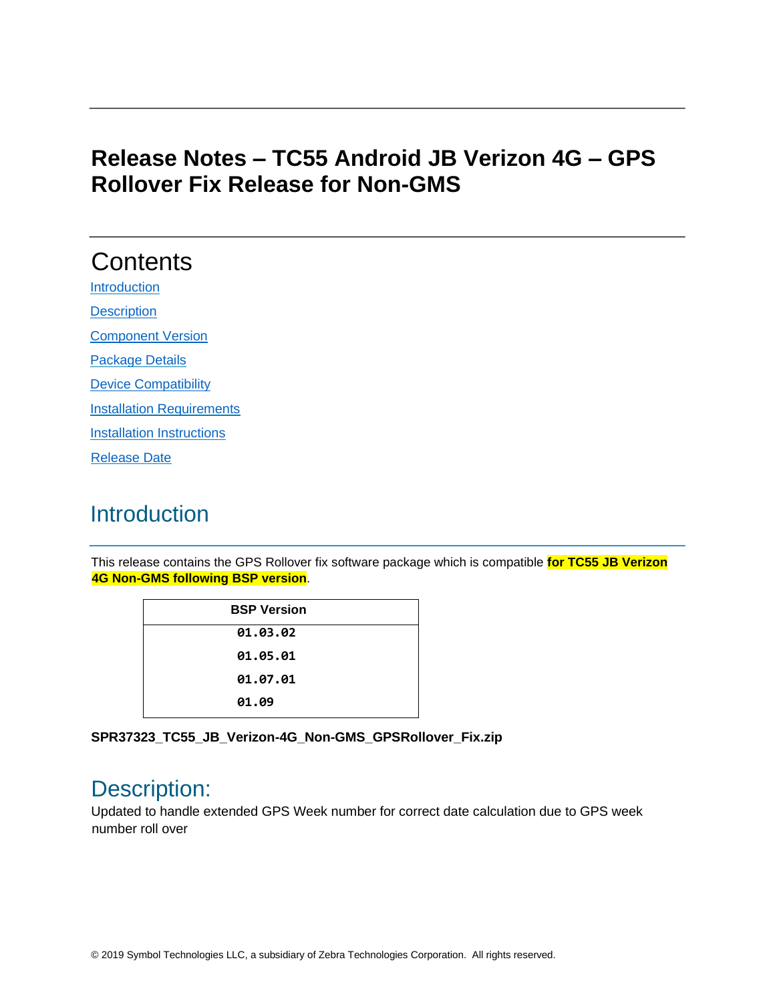### **Release Notes – TC55 Android JB Verizon 4G – GPS Rollover Fix Release for Non-GMS**

# **Contents**

**[Introduction](#page-0-0) [Description](#page-0-1)** 

[Component Version](#page-1-0) 

[Package Details](#page-1-1)

[Device Compatibility](#page-1-2)

**[Installation Requirements](#page-1-3)** 

[Installation Instructions](#page-1-4)

[Release Date](#page-2-0)

### <span id="page-0-0"></span>**Introduction**

This release contains the GPS Rollover fix software package which is compatible **for TC55 JB Verizon 4G Non-GMS following BSP version**.

| <b>BSP Version</b> |  |
|--------------------|--|
| 01.03.02           |  |
| 01.05.01           |  |
| 01.07.01           |  |
| 01.09              |  |
|                    |  |

**SPR37323\_TC55\_JB\_Verizon-4G\_Non-GMS\_GPSRollover\_Fix.zip**

#### <span id="page-0-1"></span>Description:

Updated to handle extended GPS Week number for correct date calculation due to GPS week number roll over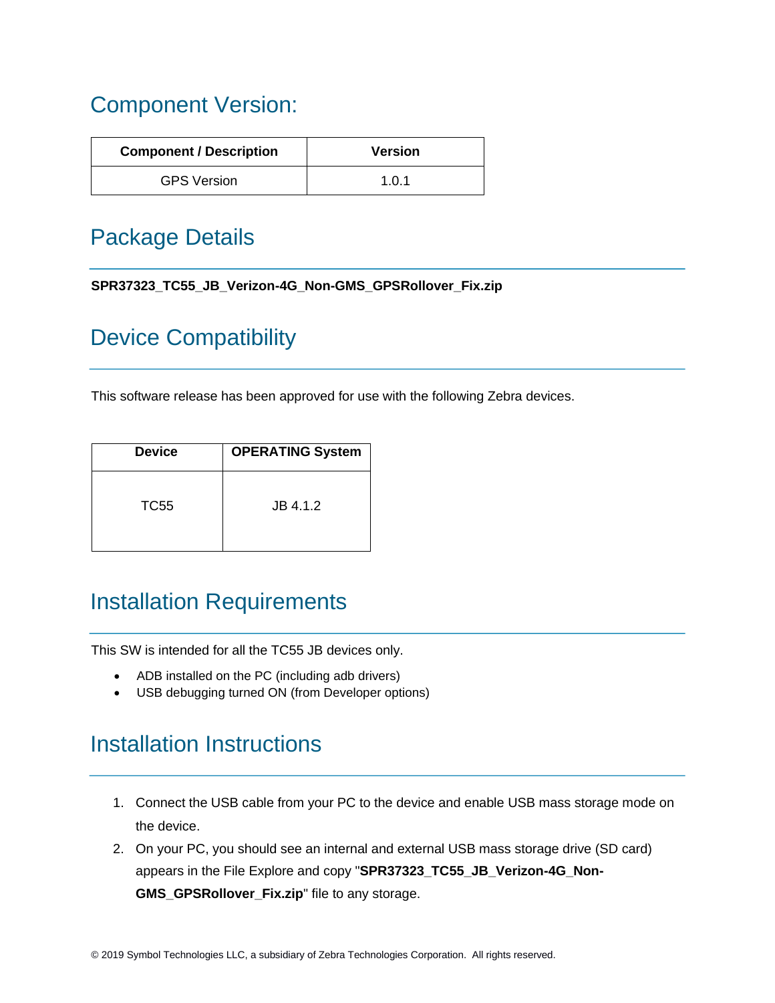## <span id="page-1-0"></span>Component Version:

| <b>Component / Description</b> | <b>Version</b> |
|--------------------------------|----------------|
| <b>GPS Version</b>             | 1.0.1          |

### <span id="page-1-2"></span><span id="page-1-1"></span>Package Details

| SPR37323_TC55_JB_Verizon-4G_Non-GMS_GPSRollover_Fix.zip |
|---------------------------------------------------------|
|---------------------------------------------------------|

## Device Compatibility

This software release has been approved for use with the following Zebra devices.

| <b>Device</b> | <b>OPERATING System</b> |
|---------------|-------------------------|
| TC55          | JB 4.1.2                |

### <span id="page-1-3"></span>Installation Requirements

This SW is intended for all the TC55 JB devices only.

- ADB installed on the PC (including adb drivers)
- USB debugging turned ON (from Developer options)

### <span id="page-1-4"></span>Installation Instructions

- 1. Connect the USB cable from your PC to the device and enable USB mass storage mode on the device.
- 2. On your PC, you should see an internal and external USB mass storage drive (SD card) appears in the File Explore and copy "**SPR37323\_TC55\_JB\_Verizon-4G\_Non-GMS\_GPSRollover\_Fix.zip**" file to any storage.